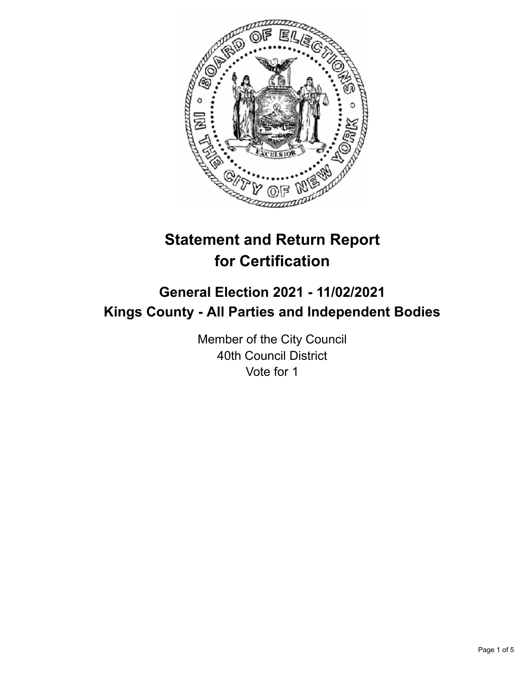

# **Statement and Return Report for Certification**

## **General Election 2021 - 11/02/2021 Kings County - All Parties and Independent Bodies**

Member of the City Council 40th Council District Vote for 1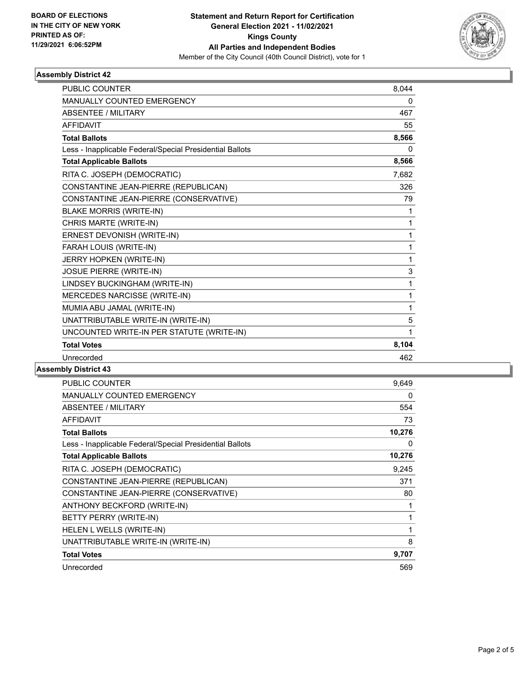

### **Assembly District 42**

| <b>PUBLIC COUNTER</b>                                    | 8,044 |
|----------------------------------------------------------|-------|
| <b>MANUALLY COUNTED EMERGENCY</b>                        | 0     |
| <b>ABSENTEE / MILITARY</b>                               | 467   |
| <b>AFFIDAVIT</b>                                         | 55    |
| <b>Total Ballots</b>                                     | 8,566 |
| Less - Inapplicable Federal/Special Presidential Ballots | 0     |
| <b>Total Applicable Ballots</b>                          | 8,566 |
| RITA C. JOSEPH (DEMOCRATIC)                              | 7,682 |
| CONSTANTINE JEAN-PIERRE (REPUBLICAN)                     | 326   |
| CONSTANTINE JEAN-PIERRE (CONSERVATIVE)                   | 79    |
| <b>BLAKE MORRIS (WRITE-IN)</b>                           | 1     |
| CHRIS MARTE (WRITE-IN)                                   | 1     |
| ERNEST DEVONISH (WRITE-IN)                               | 1     |
| FARAH LOUIS (WRITE-IN)                                   | 1     |
| JERRY HOPKEN (WRITE-IN)                                  | 1     |
| <b>JOSUE PIERRE (WRITE-IN)</b>                           | 3     |
| LINDSEY BUCKINGHAM (WRITE-IN)                            | 1     |
| MERCEDES NARCISSE (WRITE-IN)                             | 1     |
| MUMIA ABU JAMAL (WRITE-IN)                               | 1     |
| UNATTRIBUTABLE WRITE-IN (WRITE-IN)                       | 5     |
| UNCOUNTED WRITE-IN PER STATUTE (WRITE-IN)                | 1     |
| <b>Total Votes</b>                                       | 8,104 |
| Unrecorded                                               | 462   |

**Assembly District 43**

| <b>PUBLIC COUNTER</b>                                    | 9,649  |
|----------------------------------------------------------|--------|
| <b>MANUALLY COUNTED EMERGENCY</b>                        | 0      |
| ABSENTEE / MILITARY                                      | 554    |
| <b>AFFIDAVIT</b>                                         | 73     |
| <b>Total Ballots</b>                                     | 10,276 |
| Less - Inapplicable Federal/Special Presidential Ballots | 0      |
| <b>Total Applicable Ballots</b>                          | 10,276 |
| RITA C. JOSEPH (DEMOCRATIC)                              | 9,245  |
| CONSTANTINE JEAN-PIERRE (REPUBLICAN)                     | 371    |
| CONSTANTINE JEAN-PIERRE (CONSERVATIVE)                   | 80     |
| ANTHONY BECKFORD (WRITE-IN)                              | 1      |
| BETTY PERRY (WRITE-IN)                                   | 1      |
| HELEN L WELLS (WRITE-IN)                                 | 1      |
| UNATTRIBUTABLE WRITE-IN (WRITE-IN)                       | 8      |
| <b>Total Votes</b>                                       | 9,707  |
| Unrecorded                                               | 569    |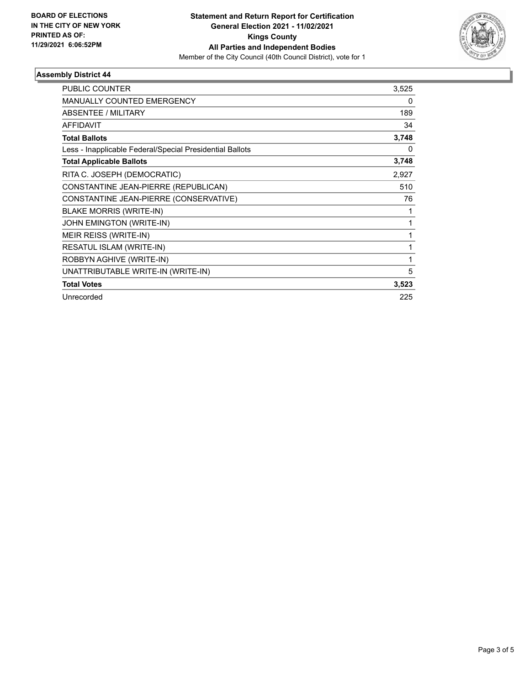

### **Assembly District 44**

| <b>PUBLIC COUNTER</b>                                    | 3,525 |
|----------------------------------------------------------|-------|
| <b>MANUALLY COUNTED EMERGENCY</b>                        | 0     |
| ABSENTEE / MILITARY                                      | 189   |
| <b>AFFIDAVIT</b>                                         | 34    |
| <b>Total Ballots</b>                                     | 3,748 |
| Less - Inapplicable Federal/Special Presidential Ballots | 0     |
| <b>Total Applicable Ballots</b>                          | 3,748 |
| RITA C. JOSEPH (DEMOCRATIC)                              | 2,927 |
| CONSTANTINE JEAN-PIERRE (REPUBLICAN)                     | 510   |
| CONSTANTINE JEAN-PIERRE (CONSERVATIVE)                   | 76    |
| <b>BLAKE MORRIS (WRITE-IN)</b>                           |       |
| JOHN EMINGTON (WRITE-IN)                                 |       |
| MEIR REISS (WRITE-IN)                                    |       |
| RESATUL ISLAM (WRITE-IN)                                 | 1     |
| ROBBYN AGHIVE (WRITE-IN)                                 | 1     |
| UNATTRIBUTABLE WRITE-IN (WRITE-IN)                       | 5     |
| <b>Total Votes</b>                                       | 3,523 |
| Unrecorded                                               | 225   |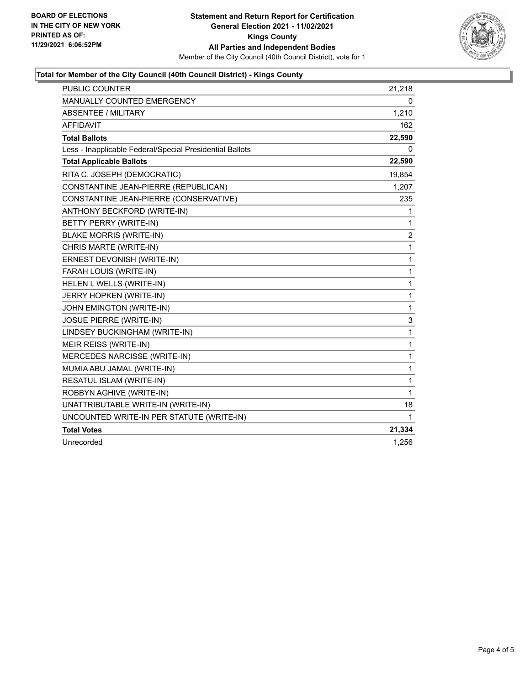

### **Total for Member of the City Council (40th Council District) - Kings County**

| <b>PUBLIC COUNTER</b>                                    | 21,218         |
|----------------------------------------------------------|----------------|
| <b>MANUALLY COUNTED EMERGENCY</b>                        | 0              |
| <b>ABSENTEE / MILITARY</b>                               | 1,210          |
| <b>AFFIDAVIT</b>                                         | 162            |
| <b>Total Ballots</b>                                     | 22,590         |
| Less - Inapplicable Federal/Special Presidential Ballots | 0              |
| <b>Total Applicable Ballots</b>                          | 22,590         |
| RITA C. JOSEPH (DEMOCRATIC)                              | 19,854         |
| CONSTANTINE JEAN-PIERRE (REPUBLICAN)                     | 1,207          |
| CONSTANTINE JEAN-PIERRE (CONSERVATIVE)                   | 235            |
| ANTHONY BECKFORD (WRITE-IN)                              | 1              |
| BETTY PERRY (WRITE-IN)                                   | 1              |
| <b>BLAKE MORRIS (WRITE-IN)</b>                           | $\overline{2}$ |
| CHRIS MARTE (WRITE-IN)                                   | 1              |
| ERNEST DEVONISH (WRITE-IN)                               | 1              |
| FARAH LOUIS (WRITE-IN)                                   | 1              |
| HELEN L WELLS (WRITE-IN)                                 | 1              |
| JERRY HOPKEN (WRITE-IN)                                  | 1              |
| JOHN EMINGTON (WRITE-IN)                                 | $\mathbf{1}$   |
| <b>JOSUE PIERRE (WRITE-IN)</b>                           | 3              |
| LINDSEY BUCKINGHAM (WRITE-IN)                            | 1              |
| MEIR REISS (WRITE-IN)                                    | 1              |
| MERCEDES NARCISSE (WRITE-IN)                             | 1              |
| MUMIA ABU JAMAL (WRITE-IN)                               | 1              |
| RESATUL ISLAM (WRITE-IN)                                 | 1              |
| ROBBYN AGHIVE (WRITE-IN)                                 | 1              |
| UNATTRIBUTABLE WRITE-IN (WRITE-IN)                       | 18             |
| UNCOUNTED WRITE-IN PER STATUTE (WRITE-IN)                | 1              |
| <b>Total Votes</b>                                       | 21,334         |
| Unrecorded                                               | 1,256          |